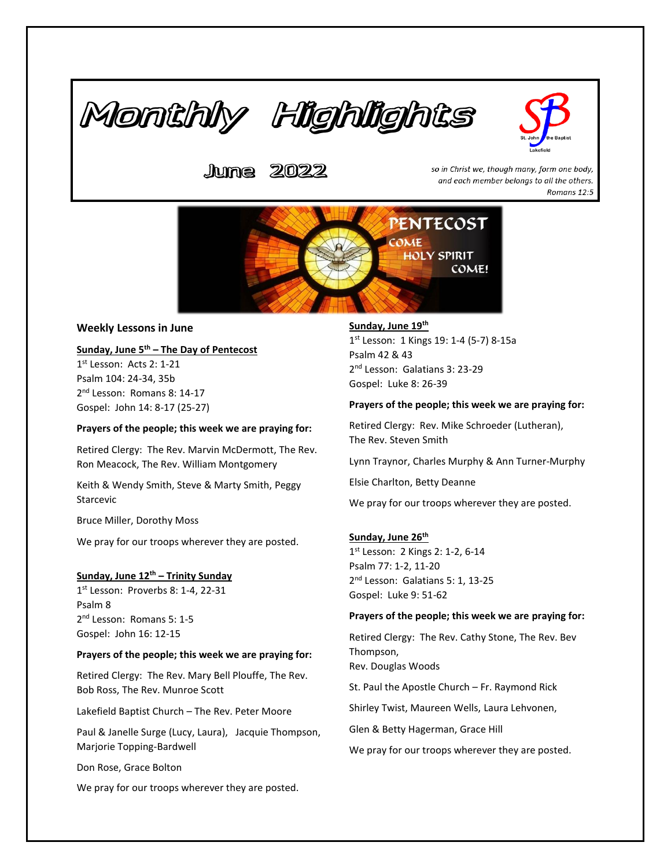



2022 Jume.

so in Christ we, though many, form one body, and each member belongs to all the others. Romans 12:5



# **Weekly Lessons in June**

# **Sunday, June 5th – The Day of Pentecost**

1 st Lesson: Acts 2: 1-21 Psalm 104: 24-34, 35b 2<sup>nd</sup> Lesson: Romans 8: 14-17 Gospel: John 14: 8-17 (25-27)

### **Prayers of the people; this week we are praying for:**

Retired Clergy: The Rev. Marvin McDermott, The Rev. Ron Meacock, The Rev. William Montgomery

Keith & Wendy Smith, Steve & Marty Smith, Peggy Starcevic

Bruce Miller, Dorothy Moss

We pray for our troops wherever they are posted.

#### **Sunday, June 12th – Trinity Sunday**

1 st Lesson: Proverbs 8: 1-4, 22-31 Psalm 8 2<sup>nd</sup> Lesson: Romans 5: 1-5 Gospel: John 16: 12-15

#### **Prayers of the people; this week we are praying for:**

Retired Clergy: The Rev. Mary Bell Plouffe, The Rev. Bob Ross, The Rev. Munroe Scott

Lakefield Baptist Church – The Rev. Peter Moore

Paul & Janelle Surge (Lucy, Laura), Jacquie Thompson, Marjorie Topping-Bardwell

Don Rose, Grace Bolton

We pray for our troops wherever they are posted.

# **Sunday, June 19th**

1 st Lesson: 1 Kings 19: 1-4 (5-7) 8-15a Psalm 42 & 43 2<sup>nd</sup> Lesson: Galatians 3: 23-29 Gospel: Luke 8: 26-39

#### **Prayers of the people; this week we are praying for:**

Retired Clergy: Rev. Mike Schroeder (Lutheran), The Rev. Steven Smith

Lynn Traynor, Charles Murphy & Ann Turner-Murphy

Elsie Charlton, Betty Deanne

We pray for our troops wherever they are posted.

#### **Sunday, June 26th**

1 st Lesson: 2 Kings 2: 1-2, 6-14 Psalm 77: 1-2, 11-20 2<sup>nd</sup> Lesson: Galatians 5: 1, 13-25 Gospel: Luke 9: 51-62

#### **Prayers of the people; this week we are praying for:**

Retired Clergy: The Rev. Cathy Stone, The Rev. Bev Thompson, Rev. Douglas Woods

St. Paul the Apostle Church – Fr. Raymond Rick

Shirley Twist, Maureen Wells, Laura Lehvonen,

Glen & Betty Hagerman, Grace Hill

We pray for our troops wherever they are posted.